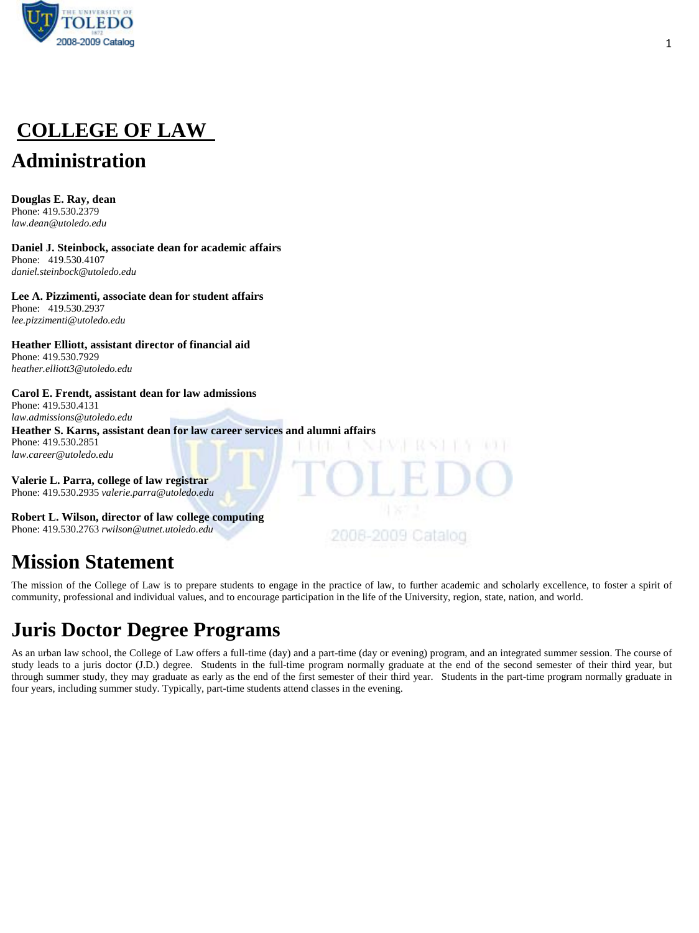

# **COLLEGE OF LAW**

## **Administration**

**Douglas E. Ray, dean**  Phone: 419.530.2379 *law.dean@utoledo.edu* 

**Daniel J. Steinbock, associate dean for academic affairs**  Phone: 419.530.4107 *daniel.steinbock@utoledo.edu* 

**Lee A. Pizzimenti, associate dean for student affairs**  Phone: 419.530.2937 *lee.pizzimenti@utoledo.edu* 

**Heather Elliott, assistant director of financial aid**  Phone: 419.530.7929 *heather.elliott3@utoledo.edu* 

#### **Carol E. Frendt, assistant dean for law admissions**  Phone: 419.530.4131

*[law.admissions@utoledo.edu](mailto:law.admissions@utoledo.edu)*  **Heather S. Karns, assistant dean for law career services and alumni affairs**  Phone: 419.530.2851 *[law.career@utoledo.edu](mailto:law.career@utoledo.edu)*

**Valerie L. Parra, college of law registrar**  Phone: 419.530.2935 *valerie.parra@utoledo.edu* 

**Robert L. Wilson, director of law college computing**  Phone: 419.530.2763 *[rwilson@utnet.utoledo.edu](mailto:rwilson@utnet.utoledo.edu)* 

## **Mission Statement**

The mission of the College of Law is to prepare students to engage in the practice of law, to further academic and scholarly excellence, to foster a spirit of community, professional and individual values, and to encourage participation in the life of the University, region, state, nation, and world.

2008-2009 Cataloo

## **Juris Doctor Degree Programs**

As an urban law school, the College of Law offers a full-time (day) and a part-time (day or evening) program, and an integrated summer session. The course of study leads to a juris doctor (J.D.) degree. Students in the full-time program normally graduate at the end of the second semester of their third year, but through summer study, they may graduate as early as the end of the first semester of their third year. Students in the part-time program normally graduate in four years, including summer study. Typically, part-time students attend classes in the evening.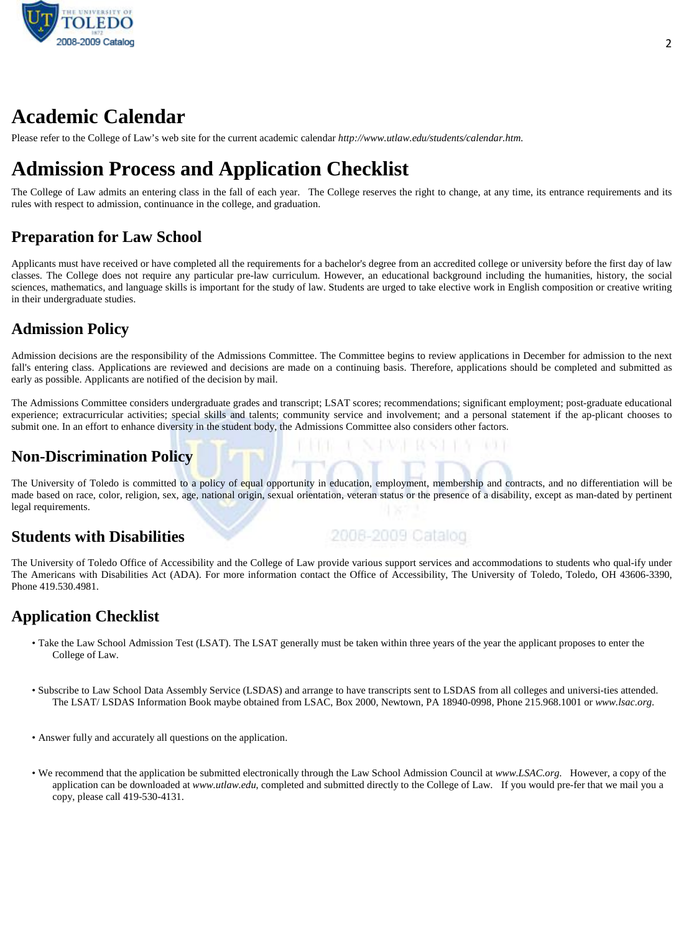

## **Academic Calendar**

Please refer to the College of Law's web site for the current academic calendar *http://www.utlaw.edu/students/calendar.htm.* 

## **Admission Process and Application Checklist**

The College of Law admits an entering class in the fall of each year. The College reserves the right to change, at any time, its entrance requirements and its rules with respect to admission, continuance in the college, and graduation.

#### **Preparation for Law School**

Applicants must have received or have completed all the requirements for a bachelor's degree from an accredited college or university before the first day of law classes. The College does not require any particular pre-law curriculum. However, an educational background including the humanities, history, the social sciences, mathematics, and language skills is important for the study of law. Students are urged to take elective work in English composition or creative writing in their undergraduate studies.

### **Admission Policy**

Admission decisions are the responsibility of the Admissions Committee. The Committee begins to review applications in December for admission to the next fall's entering class. Applications are reviewed and decisions are made on a continuing basis. Therefore, applications should be completed and submitted as early as possible. Applicants are notified of the decision by mail.

The Admissions Committee considers undergraduate grades and transcript; LSAT scores; recommendations; significant employment; post-graduate educational experience; extracurricular activities; special skills and talents; community service and involvement; and a personal statement if the ap-plicant chooses to submit one. In an effort to enhance diversity in the student body, the Admissions Committee also considers other factors.

### **Non-Discrimination Policy**

The University of Toledo is committed to a policy of equal opportunity in education, employment, membership and contracts, and no differentiation will be made based on race, color, religion, sex, age, national origin, sexual orientation, veteran status or the presence of a disability, except as man-dated by pertinent legal requirements.

#### **Students with Disabilities**

2006-2009 Catalog

The University of Toledo Office of Accessibility and the College of Law provide various support services and accommodations to students who qual-ify under The Americans with Disabilities Act (ADA). For more information contact the Office of Accessibility, The University of Toledo, Toledo, OH 43606-3390, Phone 419.530.4981.

#### **Application Checklist**

- Take the Law School Admission Test (LSAT). The LSAT generally must be taken within three years of the year the applicant proposes to enter the College of Law.
- Subscribe to Law School Data Assembly Service (LSDAS) and arrange to have transcripts sent to LSDAS from all colleges and universi-ties attended. The LSAT/ LSDAS Information Book maybe obtained from LSAC, Box 2000, Newtown, PA 18940-0998, Phone 215.968.1001 or *www.lsac.org*.
- Answer fully and accurately all questions on the application.
- We recommend that the application be submitted electronically through the Law School Admission Council at *www.LSAC.org*. However, a copy of the application can be downloaded at *www.utlaw.edu*, completed and submitted directly to the College of Law. If you would pre-fer that we mail you a copy, please call 419-530-4131.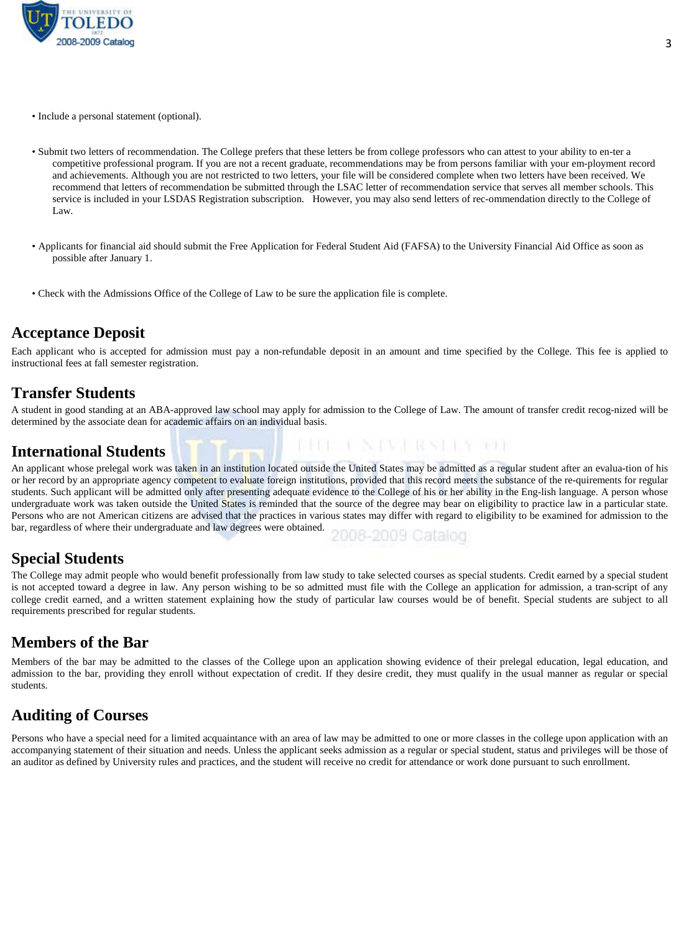

- Include a personal statement (optional).
- Submit two letters of recommendation. The College prefers that these letters be from college professors who can attest to your ability to en-ter a competitive professional program. If you are not a recent graduate, recommendations may be from persons familiar with your em-ployment record and achievements. Although you are not restricted to two letters, your file will be considered complete when two letters have been received. We recommend that letters of recommendation be submitted through the LSAC letter of recommendation service that serves all member schools. This service is included in your LSDAS Registration subscription. However, you may also send letters of rec-ommendation directly to the College of Law.
- Applicants for financial aid should submit the Free Application for Federal Student Aid (FAFSA) to the University Financial Aid Office as soon as possible after January 1.
- Check with the Admissions Office of the College of Law to be sure the application file is complete.

#### **Acceptance Deposit**

Each applicant who is accepted for admission must pay a non-refundable deposit in an amount and time specified by the College. This fee is applied to instructional fees at fall semester registration.

#### **Transfer Students**

A student in good standing at an ABA-approved law school may apply for admission to the College of Law. The amount of transfer credit recog-nized will be determined by the associate dean for academic affairs on an individual basis.

THE TENS PART RESIDENCE TO BE

#### **International Students**

An applicant whose prelegal work was taken in an institution located outside the United States may be admitted as a regular student after an evalua-tion of his or her record by an appropriate agency competent to evaluate foreign institutions, provided that this record meets the substance of the re-quirements for regular students. Such applicant will be admitted only after presenting adequate evidence to the College of his or her ability in the Eng-lish language. A person whose undergraduate work was taken outside the United States is reminded that the source of the degree may bear on eligibility to practice law in a particular state. Persons who are not American citizens are advised that the practices in various states may differ with regard to eligibility to be examined for admission to the bar, regardless of where their undergraduate and law degrees were obtained. 2006-2009 Catalog

#### **Special Students**

The College may admit people who would benefit professionally from law study to take selected courses as special students. Credit earned by a special student is not accepted toward a degree in law. Any person wishing to be so admitted must file with the College an application for admission, a tran-script of any college credit earned, and a written statement explaining how the study of particular law courses would be of benefit. Special students are subject to all requirements prescribed for regular students.

#### **Members of the Bar**

Members of the bar may be admitted to the classes of the College upon an application showing evidence of their prelegal education, legal education, and admission to the bar, providing they enroll without expectation of credit. If they desire credit, they must qualify in the usual manner as regular or special students.

#### **Auditing of Courses**

Persons who have a special need for a limited acquaintance with an area of law may be admitted to one or more classes in the college upon application with an accompanying statement of their situation and needs. Unless the applicant seeks admission as a regular or special student, status and privileges will be those of an auditor as defined by University rules and practices, and the student will receive no credit for attendance or work done pursuant to such enrollment.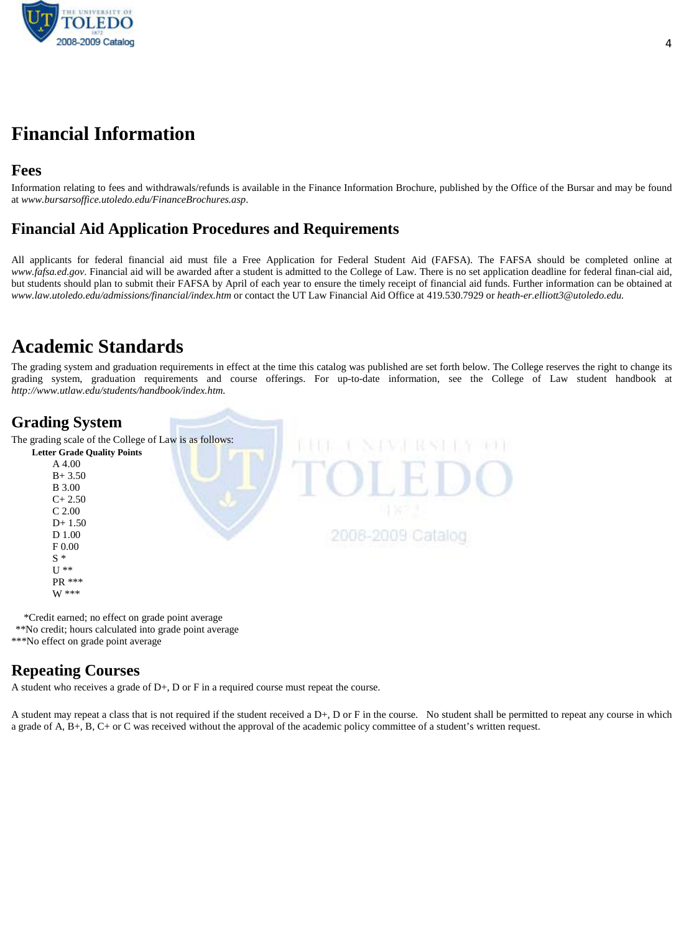

## **Financial Information**

#### **Fees**

Information relating to fees and withdrawals/refunds is available in the Finance Information Brochure, published by the Office of the Bursar and may be found at *www.bursarsoffice.utoledo.edu/FinanceBrochures.asp*.

#### **Financial Aid Application Procedures and Requirements**

All applicants for federal financial aid must file a Free Application for Federal Student Aid (FAFSA). The FAFSA should be completed online at *www.fafsa.ed.gov*. Financial aid will be awarded after a student is admitted to the College of Law. There is no set application deadline for federal finan-cial aid, but students should plan to submit their FAFSA by April of each year to ensure the timely receipt of financial aid funds. Further information can be obtained at *www.law.utoledo.edu/admissions/financial/index.htm* or contact the UT Law Financial Aid Office at 419.530.7929 or *heath-er.elliott3@utoledo.edu.* 

## **Academic Standards**

The grading system and graduation requirements in effect at the time this catalog was published are set forth below. The College reserves the right to change its grading system, graduation requirements and course offerings. For up-to-date information, see the College of Law student handbook at *http://www.utlaw.edu/students/handbook/index.htm.* 

#### **Grading System**

The grading scale of the College of Law is as follows:

| <b>Letter Grade Quality Points</b> |            |
|------------------------------------|------------|
| A 4.00                             |            |
| $B + 3.50$                         |            |
| <b>B</b> 3.00                      |            |
| $C+2.50$                           |            |
| $C$ 2.00                           |            |
| $D+1.50$                           |            |
| D 1.00                             | -2009 Cata |
| F0.00                              |            |
| $S^*$                              |            |
| $U$ **                             |            |
| PR ***                             |            |
| W ***                              |            |

 \*Credit earned; no effect on grade point average \*\*No credit; hours calculated into grade point average \*\*\*No effect on grade point average

#### **Repeating Courses**

A student who receives a grade of  $D+$ ,  $D$  or  $F$  in a required course must repeat the course.

A student may repeat a class that is not required if the student received a D+, D or F in the course. No student shall be permitted to repeat any course in which a grade of A, B+, B, C+ or C was received without the approval of the academic policy committee of a student's written request.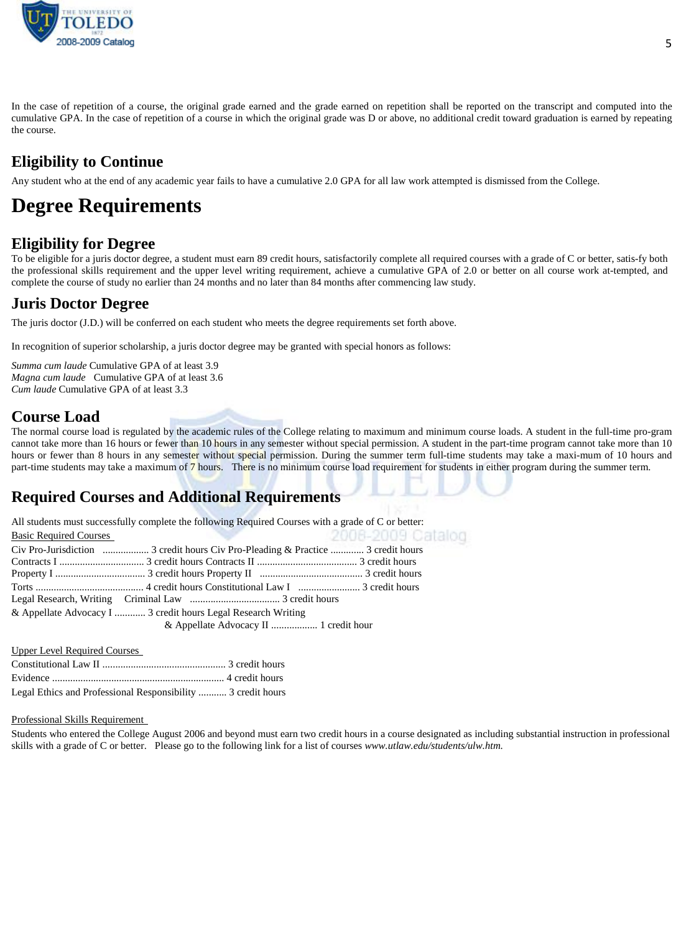

In the case of repetition of a course, the original grade earned and the grade earned on repetition shall be reported on the transcript and computed into the cumulative GPA. In the case of repetition of a course in which the original grade was D or above, no additional credit toward graduation is earned by repeating the course.

### **Eligibility to Continue**

Any student who at the end of any academic year fails to have a cumulative 2.0 GPA for all law work attempted is dismissed from the College.

## **Degree Requirements**

#### **Eligibility for Degree**

To be eligible for a juris doctor degree, a student must earn 89 credit hours, satisfactorily complete all required courses with a grade of C or better, satis-fy both the professional skills requirement and the upper level writing requirement, achieve a cumulative GPA of 2.0 or better on all course work at-tempted, and complete the course of study no earlier than 24 months and no later than 84 months after commencing law study.

### **Juris Doctor Degree**

The juris doctor (J.D.) will be conferred on each student who meets the degree requirements set forth above.

In recognition of superior scholarship, a juris doctor degree may be granted with special honors as follows:

*Summa cum laude* Cumulative GPA of at least 3.9 *Magna cum laude* Cumulative GPA of at least 3.6 *Cum laude* Cumulative GPA of at least 3.3

#### **Course Load**

The normal course load is regulated by the academic rules of the College relating to maximum and minimum course loads. A student in the full-time pro-gram cannot take more than 16 hours or fewer than 10 hours in any semester without special permission. A student in the part-time program cannot take more than 10 hours or fewer than 8 hours in any semester without special permission. During the summer term full-time students may take a maxi-mum of 10 hours and part-time students may take a maximum of 7 hours. There is no minimum course load requirement for students in either program during the summer term.

### **Required Courses and Additional Requirements**

|                               | All students must successfully complete the following Required Courses with a grade of C or better: |                   |
|-------------------------------|-----------------------------------------------------------------------------------------------------|-------------------|
| <b>Basic Required Courses</b> |                                                                                                     | 2008-2009 Catalog |
|                               |                                                                                                     |                   |
|                               |                                                                                                     |                   |
|                               |                                                                                                     |                   |
|                               |                                                                                                     |                   |
|                               |                                                                                                     |                   |
|                               | & Appellate Advocacy I  3 credit hours Legal Research Writing                                       |                   |

Upper Level Required Courses

| Legal Ethics and Professional Responsibility  3 credit hours |  |
|--------------------------------------------------------------|--|

#### Professional Skills Requirement

Students who entered the College August 2006 and beyond must earn two credit hours in a course designated as including substantial instruction in professional skills with a grade of C or better. Please go to the following link for a list of courses *www.utlaw.edu/students/ulw.htm*.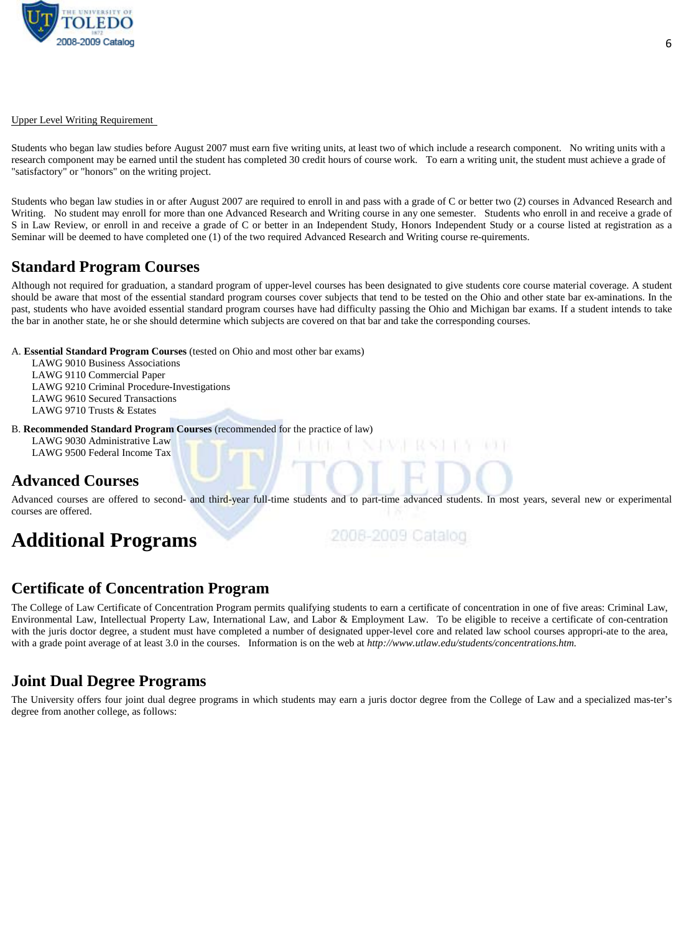

#### Upper Level Writing Requirement

Students who began law studies before August 2007 must earn five writing units, at least two of which include a research component. No writing units with a research component may be earned until the student has completed 30 credit hours of course work. To earn a writing unit, the student must achieve a grade of "satisfactory" or "honors" on the writing project.

Students who began law studies in or after August 2007 are required to enroll in and pass with a grade of C or better two (2) courses in Advanced Research and Writing. No student may enroll for more than one Advanced Research and Writing course in any one semester. Students who enroll in and receive a grade of S in Law Review, or enroll in and receive a grade of C or better in an Independent Study, Honors Independent Study or a course listed at registration as a Seminar will be deemed to have completed one (1) of the two required Advanced Research and Writing course re-quirements.

#### **Standard Program Courses**

Although not required for graduation, a standard program of upper-level courses has been designated to give students core course material coverage. A student should be aware that most of the essential standard program courses cover subjects that tend to be tested on the Ohio and other state bar ex-aminations. In the past, students who have avoided essential standard program courses have had difficulty passing the Ohio and Michigan bar exams. If a student intends to take the bar in another state, he or she should determine which subjects are covered on that bar and take the corresponding courses.

A. **Essential Standard Program Courses** (tested on Ohio and most other bar exams)

LAWG 9010 Business Associations LAWG 9110 Commercial Paper LAWG 9210 Criminal Procedure-Investigations LAWG 9610 Secured Transactions LAWG 9710 Trusts & Estates

B. **Recommended Standard Program Courses** (recommended for the practice of law)

LAWG 9030 Administrative Law LAWG 9500 Federal Income Tax

#### **Advanced Courses**

Advanced courses are offered to second- and third-year full-time students and to part-time advanced students. In most years, several new or experimental courses are offered.

## **Additional Programs**

2006-2009 Catalog

#### **Certificate of Concentration Program**

The College of Law Certificate of Concentration Program permits qualifying students to earn a certificate of concentration in one of five areas: Criminal Law, Environmental Law, Intellectual Property Law, International Law, and Labor & Employment Law. To be eligible to receive a certificate of con-centration with the juris doctor degree, a student must have completed a number of designated upper-level core and related law school courses appropri-ate to the area, with a grade point average of at least 3.0 in the courses. Information is on the web at *http://www.utlaw.edu/students/concentrations.htm.*

#### **Joint Dual Degree Programs**

The University offers four joint dual degree programs in which students may earn a juris doctor degree from the College of Law and a specialized mas-ter's degree from another college, as follows: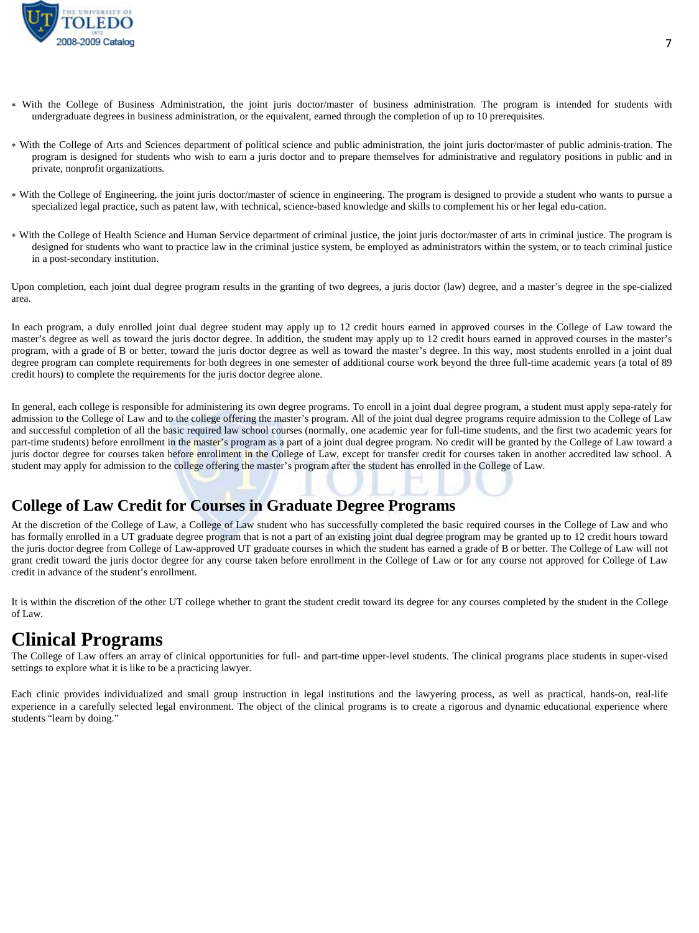

- ∗ With the College of Business Administration, the joint juris doctor/master of business administration. The program is intended for students with undergraduate degrees in business administration, or the equivalent, earned through the completion of up to 10 prerequisites.
- ∗ With the College of Arts and Sciences department of political science and public administration, the joint juris doctor/master of public adminis-tration. The program is designed for students who wish to earn a juris doctor and to prepare themselves for administrative and regulatory positions in public and in private, nonprofit organizations.
- ∗ With the College of Engineering, the joint juris doctor/master of science in engineering. The program is designed to provide a student who wants to pursue a specialized legal practice, such as patent law, with technical, science-based knowledge and skills to complement his or her legal edu-cation.
- ∗ With the College of Health Science and Human Service department of criminal justice, the joint juris doctor/master of arts in criminal justice. The program is designed for students who want to practice law in the criminal justice system, be employed as administrators within the system, or to teach criminal justice in a post-secondary institution.

Upon completion, each joint dual degree program results in the granting of two degrees, a juris doctor (law) degree, and a master's degree in the spe-cialized area.

In each program, a duly enrolled joint dual degree student may apply up to 12 credit hours earned in approved courses in the College of Law toward the master's degree as well as toward the juris doctor degree. In addition, the student may apply up to 12 credit hours earned in approved courses in the master's program, with a grade of B or better, toward the juris doctor degree as well as toward the master's degree. In this way, most students enrolled in a joint dual degree program can complete requirements for both degrees in one semester of additional course work beyond the three full-time academic years (a total of 89 credit hours) to complete the requirements for the juris doctor degree alone.

In general, each college is responsible for administering its own degree programs. To enroll in a joint dual degree program, a student must apply sepa-rately for admission to the College of Law and to the college offering the master's program. All of the joint dual degree programs require admission to the College of Law and successful completion of all the basic required law school courses (normally, one academic year for full-time students, and the first two academic years for part-time students) before enrollment in the master's program as a part of a joint dual degree program. No credit will be granted by the College of Law toward a juris doctor degree for courses taken before enrollment in the College of Law, except for transfer credit for courses taken in another accredited law school. A student may apply for admission to the college offering the master's program after the student has enrolled in the College of Law.

#### **College of Law Credit for Courses in Graduate Degree Programs**

At the discretion of the College of Law, a College of Law student who has successfully completed the basic required courses in the College of Law and who has formally enrolled in a UT graduate degree program that is not a part of an existing joint dual degree program may be granted up to 12 credit hours toward the juris doctor degree from College of Law-approved UT graduate courses in which the student has earned a grade of B or better. The College of Law will not grant credit toward the juris doctor degree for any course taken before enrollment in the College of Law or for any course not approved for College of Law credit in advance of the student's enrollment.

It is within the discretion of the other UT college whether to grant the student credit toward its degree for any courses completed by the student in the College of Law.

## **Clinical Programs**

The College of Law offers an array of clinical opportunities for full- and part-time upper-level students. The clinical programs place students in super-vised settings to explore what it is like to be a practicing lawyer.

Each clinic provides individualized and small group instruction in legal institutions and the lawyering process, as well as practical, hands-on, real-life experience in a carefully selected legal environment. The object of the clinical programs is to create a rigorous and dynamic educational experience where students "learn by doing."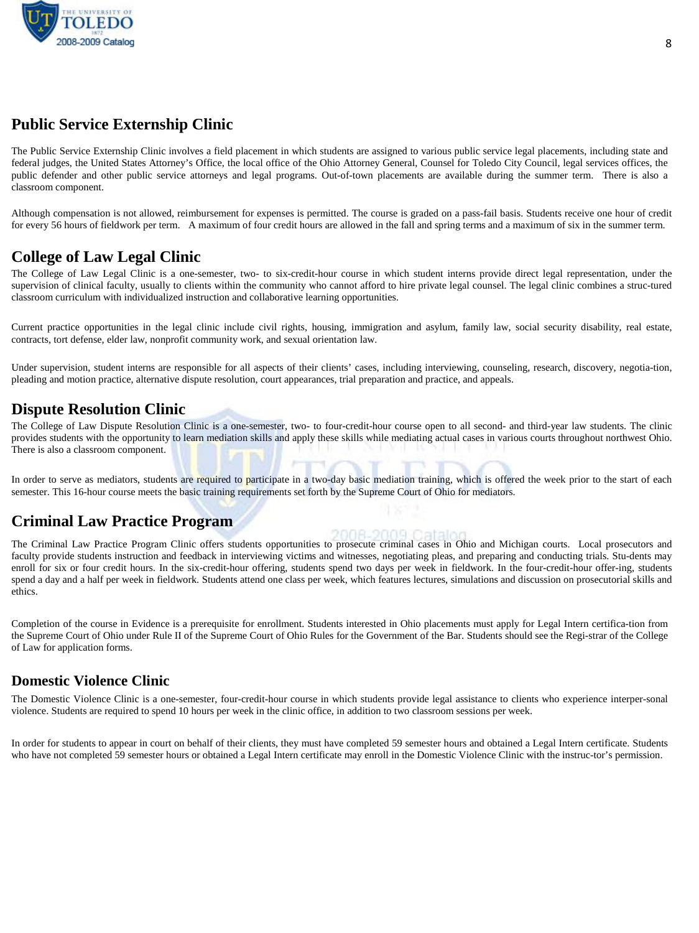

#### **Public Service Externship Clinic**

The Public Service Externship Clinic involves a field placement in which students are assigned to various public service legal placements, including state and federal judges, the United States Attorney's Office, the local office of the Ohio Attorney General, Counsel for Toledo City Council, legal services offices, the public defender and other public service attorneys and legal programs. Out-of-town placements are available during the summer term. There is also a classroom component.

Although compensation is not allowed, reimbursement for expenses is permitted. The course is graded on a pass-fail basis. Students receive one hour of credit for every 56 hours of fieldwork per term. A maximum of four credit hours are allowed in the fall and spring terms and a maximum of six in the summer term.

#### **College of Law Legal Clinic**

The College of Law Legal Clinic is a one-semester, two- to six-credit-hour course in which student interns provide direct legal representation, under the supervision of clinical faculty, usually to clients within the community who cannot afford to hire private legal counsel. The legal clinic combines a struc-tured classroom curriculum with individualized instruction and collaborative learning opportunities.

Current practice opportunities in the legal clinic include civil rights, housing, immigration and asylum, family law, social security disability, real estate, contracts, tort defense, elder law, nonprofit community work, and sexual orientation law.

Under supervision, student interns are responsible for all aspects of their clients' cases, including interviewing, counseling, research, discovery, negotia-tion, pleading and motion practice, alternative dispute resolution, court appearances, trial preparation and practice, and appeals.

#### **Dispute Resolution Clinic**

The College of Law Dispute Resolution Clinic is a one-semester, two- to four-credit-hour course open to all second- and third-year law students. The clinic provides students with the opportunity to learn mediation skills and apply these skills while mediating actual cases in various courts throughout northwest Ohio. There is also a classroom component.

In order to serve as mediators, students are required to participate in a two-day basic mediation training, which is offered the week prior to the start of each semester. This 16-hour course meets the basic training requirements set forth by the Supreme Court of Ohio for mediators.

#### **Criminal Law Practice Program**

The Criminal Law Practice Program Clinic offers students opportunities to prosecute criminal cases in Ohio and Michigan courts. Local prosecutors and faculty provide students instruction and feedback in interviewing victims and witnesses, negotiating pleas, and preparing and conducting trials. Stu-dents may enroll for six or four credit hours. In the six-credit-hour offering, students spend two days per week in fieldwork. In the four-credit-hour offer-ing, students spend a day and a half per week in fieldwork. Students attend one class per week, which features lectures, simulations and discussion on prosecutorial skills and ethics.

Completion of the course in Evidence is a prerequisite for enrollment. Students interested in Ohio placements must apply for Legal Intern certifica-tion from the Supreme Court of Ohio under Rule II of the Supreme Court of Ohio Rules for the Government of the Bar. Students should see the Regi-strar of the College of Law for application forms.

#### **Domestic Violence Clinic**

The Domestic Violence Clinic is a one-semester, four-credit-hour course in which students provide legal assistance to clients who experience interper-sonal violence. Students are required to spend 10 hours per week in the clinic office, in addition to two classroom sessions per week.

In order for students to appear in court on behalf of their clients, they must have completed 59 semester hours and obtained a Legal Intern certificate. Students who have not completed 59 semester hours or obtained a Legal Intern certificate may enroll in the Domestic Violence Clinic with the instruc-tor's permission.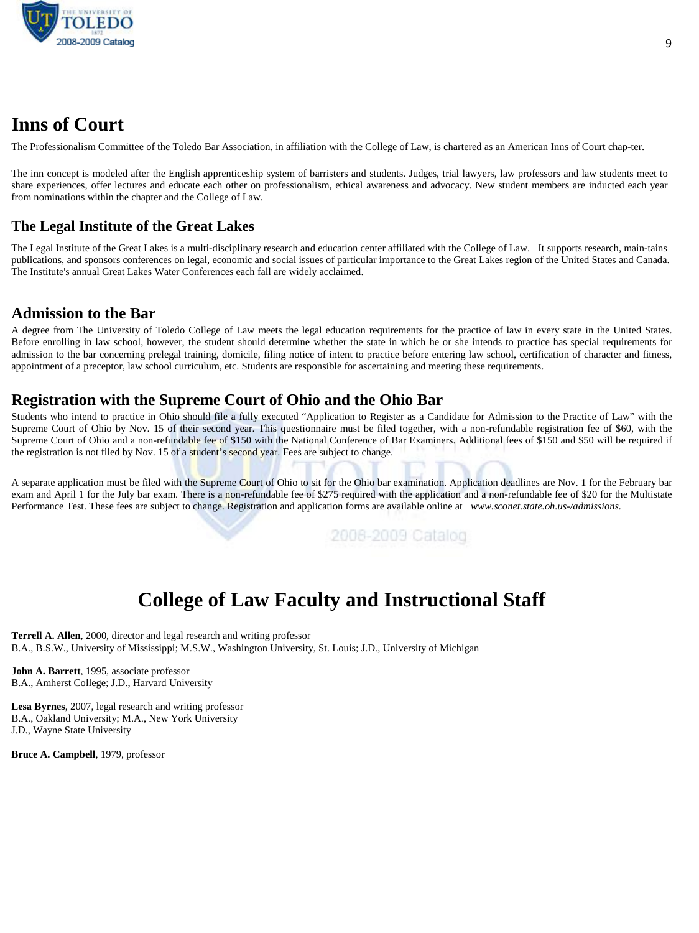

## **Inns of Court**

The Professionalism Committee of the Toledo Bar Association, in affiliation with the College of Law, is chartered as an American Inns of Court chap-ter.

The inn concept is modeled after the English apprenticeship system of barristers and students. Judges, trial lawyers, law professors and law students meet to share experiences, offer lectures and educate each other on professionalism, ethical awareness and advocacy. New student members are inducted each year from nominations within the chapter and the College of Law.

#### **The Legal Institute of the Great Lakes**

The Legal Institute of the Great Lakes is a multi-disciplinary research and education center affiliated with the College of Law. It supports research, main-tains publications, and sponsors conferences on legal, economic and social issues of particular importance to the Great Lakes region of the United States and Canada. The Institute's annual Great Lakes Water Conferences each fall are widely acclaimed.

#### **Admission to the Bar**

A degree from The University of Toledo College of Law meets the legal education requirements for the practice of law in every state in the United States. Before enrolling in law school, however, the student should determine whether the state in which he or she intends to practice has special requirements for admission to the bar concerning prelegal training, domicile, filing notice of intent to practice before entering law school, certification of character and fitness, appointment of a preceptor, law school curriculum, etc. Students are responsible for ascertaining and meeting these requirements.

#### **Registration with the Supreme Court of Ohio and the Ohio Bar**

Students who intend to practice in Ohio should file a fully executed "Application to Register as a Candidate for Admission to the Practice of Law" with the Supreme Court of Ohio by Nov. 15 of their second year. This questionnaire must be filed together, with a non-refundable registration fee of \$60, with the Supreme Court of Ohio and a non-refundable fee of \$150 with the National Conference of Bar Examiners. Additional fees of \$150 and \$50 will be required if the registration is not filed by Nov. 15 of a student's second year. Fees are subject to change.

A separate application must be filed with the Supreme Court of Ohio to sit for the Ohio bar examination. Application deadlines are Nov. 1 for the February bar exam and April 1 for the July bar exam. There is a non-refundable fee of \$275 required with the application and a non-refundable fee of \$20 for the Multistate Performance Test. These fees are subject to change. Registration and application forms are available online at *www.sconet.state.oh.us-/admissions.* 

2008-2009 Catalog

## **College of Law Faculty and Instructional Staff**

**Terrell A. Allen**, 2000, director and legal research and writing professor B.A., B.S.W., University of Mississippi; M.S.W., Washington University, St. Louis; J.D., University of Michigan

**John A. Barrett**, 1995, associate professor B.A., Amherst College; J.D., Harvard University

**Lesa Byrnes**, 2007, legal research and writing professor B.A., Oakland University; M.A., New York University J.D., Wayne State University

**Bruce A. Campbell**, 1979, professor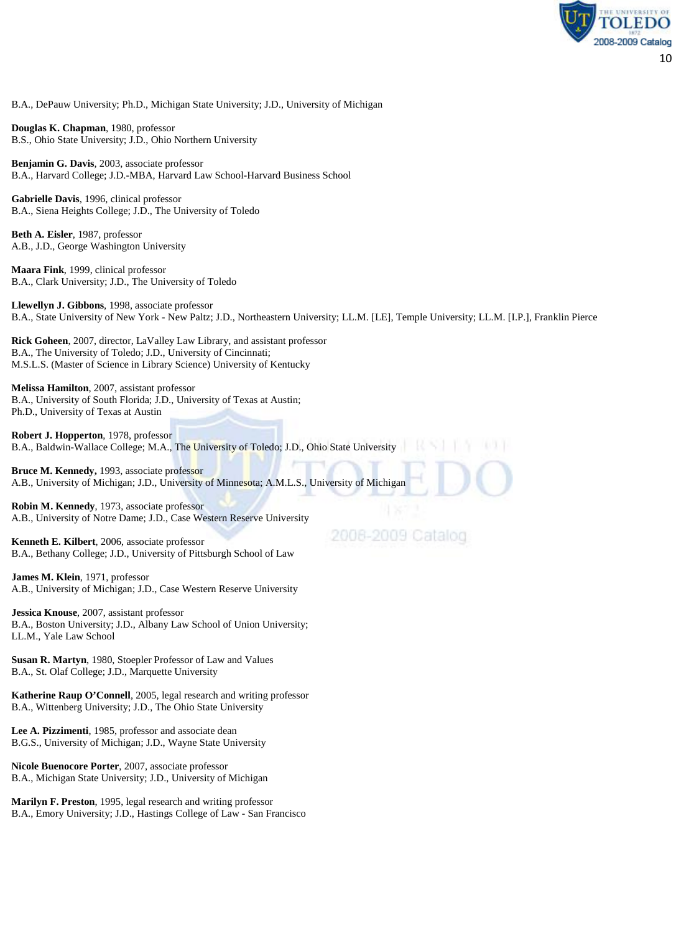

B.A., DePauw University; Ph.D., Michigan State University; J.D., University of Michigan

**Douglas K. Chapman**, 1980, professor B.S., Ohio State University; J.D., Ohio Northern University

**Benjamin G. Davis**, 2003, associate professor B.A., Harvard College; J.D.-MBA, Harvard Law School-Harvard Business School

**Gabrielle Davis**, 1996, clinical professor B.A., Siena Heights College; J.D., The University of Toledo

**Beth A. Eisler**, 1987, professor A.B., J.D., George Washington University

**Maara Fink**, 1999, clinical professor B.A., Clark University; J.D., The University of Toledo

**Llewellyn J. Gibbons**, 1998, associate professor B.A., State University of New York - New Paltz; J.D., Northeastern University; LL.M. [LE], Temple University; LL.M. [I.P.], Franklin Pierce

**Rick Goheen**, 2007, director, LaValley Law Library, and assistant professor B.A., The University of Toledo; J.D., University of Cincinnati; M.S.L.S. (Master of Science in Library Science) University of Kentucky

**Melissa Hamilton**, 2007, assistant professor B.A., University of South Florida; J.D., University of Texas at Austin; Ph.D., University of Texas at Austin

**Robert J. Hopperton**, 1978, professor B.A., Baldwin-Wallace College; M.A., The University of Toledo; J.D., Ohio State University

**Bruce M. Kennedy,** 1993, associate professor A.B., University of Michigan; J.D., University of Minnesota; A.M.L.S., University of Michigan

**Robin M. Kennedy**, 1973, associate professor A.B., University of Notre Dame; J.D., Case Western Reserve University

**Kenneth E. Kilbert**, 2006, associate professor B.A., Bethany College; J.D., University of Pittsburgh School of Law

**James M. Klein**, 1971, professor A.B., University of Michigan; J.D., Case Western Reserve University

**Jessica Knouse**, 2007, assistant professor B.A., Boston University; J.D., Albany Law School of Union University; LL.M., Yale Law School

**Susan R. Martyn**, 1980, Stoepler Professor of Law and Values B.A., St. Olaf College; J.D., Marquette University

**Katherine Raup O'Connell**, 2005, legal research and writing professor B.A., Wittenberg University; J.D., The Ohio State University

**Lee A. Pizzimenti**, 1985, professor and associate dean B.G.S., University of Michigan; J.D., Wayne State University

**Nicole Buenocore Porter**, 2007, associate professor B.A., Michigan State University; J.D., University of Michigan

**Marilyn F. Preston**, 1995, legal research and writing professor B.A., Emory University; J.D., Hastings College of Law - San Francisco 2008-2009 Catalog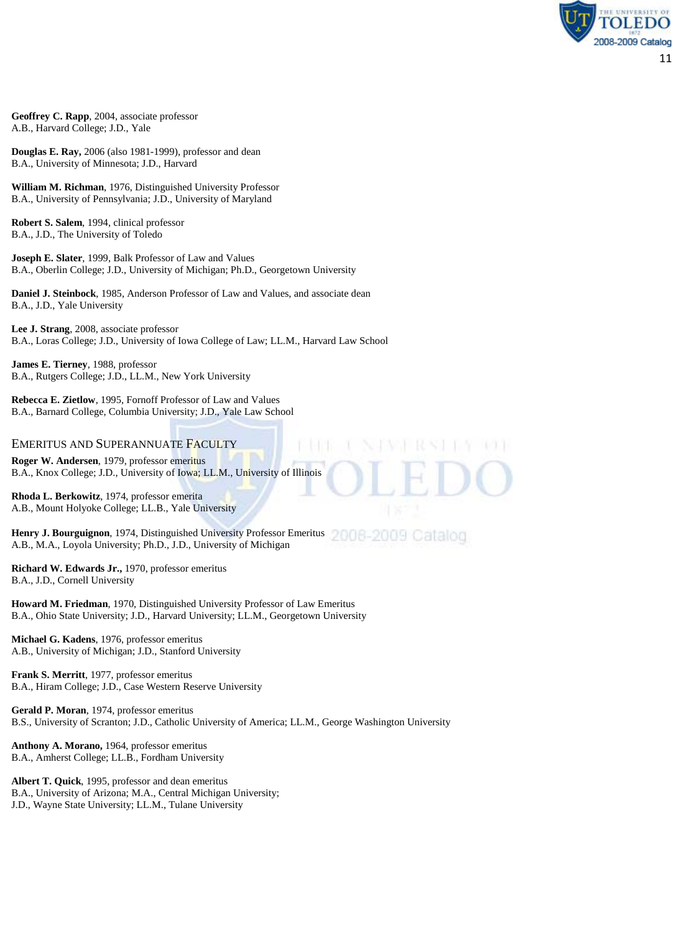**Geoffrey C. Rapp**, 2004, associate professor A.B., Harvard College; J.D., Yale

**Douglas E. Ray,** 2006 (also 1981-1999), professor and dean B.A., University of Minnesota; J.D., Harvard

**William M. Richman**, 1976, Distinguished University Professor B.A., University of Pennsylvania; J.D., University of Maryland

**Robert S. Salem**, 1994, clinical professor B.A., J.D., The University of Toledo

**Joseph E. Slater**, 1999, Balk Professor of Law and Values B.A., Oberlin College; J.D., University of Michigan; Ph.D., Georgetown University

**Daniel J. Steinbock**, 1985, Anderson Professor of Law and Values, and associate dean B.A., J.D., Yale University

**Lee J. Strang**, 2008, associate professor B.A., Loras College; J.D., University of Iowa College of Law; LL.M., Harvard Law School

**James E. Tierney**, 1988, professor B.A., Rutgers College; J.D., LL.M., New York University

**Rebecca E. Zietlow**, 1995, Fornoff Professor of Law and Values B.A., Barnard College, Columbia University; J.D., Yale Law School

#### EMERITUS AND SUPERANNUATE FACULTY

**Roger W. Andersen**, 1979, professor emeritus B.A., Knox College; J.D., University of Iowa; LL.M., University of Illinois

**Rhoda L. Berkowitz**, 1974, professor emerita A.B., Mount Holyoke College; LL.B., Yale University

Henry J. Bourguignon, 1974, Distinguished University Professor Emeritus 2000 - 2009 Catalog A.B., M.A., Loyola University; Ph.D., J.D., University of Michigan

**Richard W. Edwards Jr.,** 1970, professor emeritus B.A., J.D., Cornell University

**Howard M. Friedman**, 1970, Distinguished University Professor of Law Emeritus B.A., Ohio State University; J.D., Harvard University; LL.M., Georgetown University

**Michael G. Kadens**, 1976, professor emeritus A.B., University of Michigan; J.D., Stanford University

**Frank S. Merritt**, 1977, professor emeritus B.A., Hiram College; J.D., Case Western Reserve University

**Gerald P. Moran**, 1974, professor emeritus B.S., University of Scranton; J.D., Catholic University of America; LL.M., George Washington University

**Anthony A. Morano,** 1964, professor emeritus B.A., Amherst College; LL.B., Fordham University

**Albert T. Quick**, 1995, professor and dean emeritus B.A., University of Arizona; M.A., Central Michigan University; J.D., Wayne State University; LL.M., Tulane University